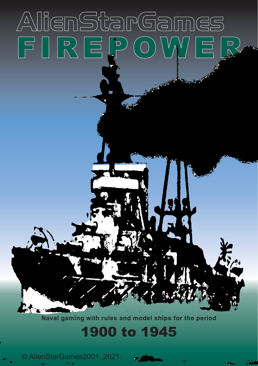# AVIGNSTarGames  $F \cap R$

**Naval gaming with rules and model ships for the period**

1900 to 1945

© AlienStarGames2001, 2021.



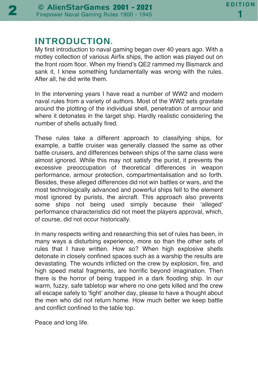#### INTRODUCTION.

My first introduction to naval gaming began over 40 years ago. With a motley collection of various Airfix ships, the action was played out on the front room floor. When my friend's QE2 rammed my Bismarck and sank it, I knew something fundamentally was wrong with the rules. After all, he did write them.

In the intervening years I have read a number of WW2 and modern naval rules from a variety of authors. Most of the WW2 sets gravitate around the plotting of the individual shell, penetration of armour and where it detonates in the target ship. Hardly realistic considering the number of shells actually fired.

These rules take a different approach to classifying ships, for example, a battle cruiser was generally classed the same as other battle cruisers, and differences between ships of the same class were almost ignored. While this may not satisfy the purist, it prevents the excessive preoccupation of theoretical differences in weapon performance, armour protection, compartmentalisation and so forth. Besides, these alleged differences did not win battles or wars, and the most technologically advanced and powerful ships fell to the element most ignored by purists, the aircraft. This approach also prevents some ships not being used simply because their 'alleged' performance characteristics did not meet the players approval, which, of course, did not occur historically.

In many respects writing and researching this set of rules has been, in many ways a disturbing experience, more so than the other sets of rules that I have written. How so? When high explosive shells detonate in closely confined spaces such as a warship the results are devastating. The wounds inflicted on the crew by explosion, fire, and high speed metal fragments, are horrific beyond imagination. Then there is the horror of being trapped in a dark flooding ship. In our warm, fuzzy, safe tabletop war where no one gets killed and the crew all escape safely to 'fight' another day, please to have a thought about the men who did not return home. How much better we keep battle and conflict confined to the table top.

Peace and long life.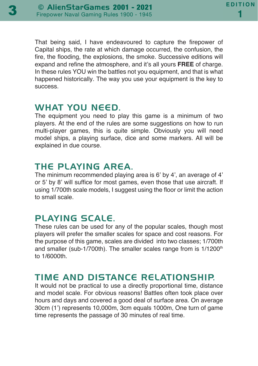That being said, I have endeavoured to capture the firepower of Capital ships, the rate at which damage occurred, the confusion, the fire, the flooding, the explosions, the smoke. Successive editions will expand and refine the atmosphere, and it's all yours **FREE** of charge. In these rules YOU win the battles not you equipment, and that is what happened historically. The way you use your equipment is the key to success.

#### WHAT YOU NEED.

The equipment you need to play this game is a minimum of two players. At the end of the rules are some suggestions on how to run multi-player games, this is quite simple. Obviously you will need model ships, a playing surface, dice and some markers. All will be explained in due course.

#### THE PLAYING AREA.

The minimum recommended playing area is 6' by 4', an average of 4' or 5' by 8' will suffice for most games, even those that use aircraft. If using 1/700th scale models, I suggest using the floor or limit the action to small scale.

#### PLAYING SCALE.

These rules can be used for any of the popular scales, though most players will prefer the smaller scales for space and cost reasons. For the purpose of this game, scales are divided into two classes; 1/700th and smaller (sub-1/700th). The smaller scales range from is 1/1200<sup>th</sup> to 1/6000th.

#### TIME AND DISTANCE RELATIONSHIP.

It would not be practical to use a directly proportional time, distance and model scale. For obvious reasons! Battles often took place over hours and days and covered a good deal of surface area. On average 30cm (1') represents 10,000m, 3cm equals 1000m, One turn of game time represents the passage of 30 minutes of real time.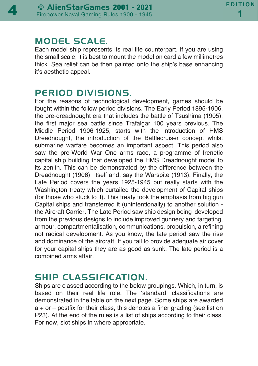#### MODEL SCALE.

Each model ship represents its real life counterpart. If you are using the small scale, it is best to mount the model on card a few millimetres thick. Sea relief can be then painted onto the ship's base enhancing it's aesthetic appeal.

#### PERIOD DIVISIONS.

For the reasons of technological development, games should be fought within the follow period divisions. The Early Period 1895-1906, the pre-dreadnought era that includes the battle of Tsushima (1905), the first major sea battle since Trafalgar 100 years previous. The Middle Period 1906-1925, starts with the introduction of HMS Dreadnought, the introduction of the Battlecruiser concept whilst submarine warfare becomes an important aspect. This period also saw the pre-World War One arms race, a programme of frenetic capital ship building that developed the HMS Dreadnought model to its zenith. This can be demonstrated by the difference between the Dreadnought (1906) itself and, say the Warspite (1913). Finally, the Late Period covers the years 1925-1945 but really starts with the Washington treaty which curtailed the development of Capital ships (for those who stuck to it). This treaty took the emphasis from big gun Capital ships and transferred it (unintentionally) to another solution the Aircraft Carrier. The Late Period saw ship design being developed from the previous designs to include improved gunnery and targeting, armour, compartmentalisation, communications, propulsion, a refining not radical development. As you know, the late period saw the rise and dominance of the aircraft. If you fail to provide adequate air cover for your capital ships they are as good as sunk. The late period is a combined arms affair.

#### **SHIP CLASSIFICATION.**

Ships are classed according to the below groupings. Which, in turn, is based on their real life role. The 'standard' classifications are demonstrated in the table on the next page. Some ships are awarded a + or – postfix for their class, this denotes a finer grading (see list on P23). At the end of the rules is a list of ships according to their class. For now, slot ships in where appropriate.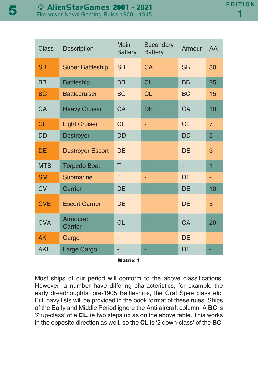5

| <b>Class</b> | Description             | Main<br><b>Battery</b> | Secondary<br><b>Battery</b> | Armour    | AA             |
|--------------|-------------------------|------------------------|-----------------------------|-----------|----------------|
| <b>SB</b>    | <b>Super Battleship</b> | <b>SB</b>              | CA                          | <b>SB</b> | 30             |
| <b>BB</b>    | <b>Battleship</b>       | <b>BB</b>              | <b>CL</b>                   | <b>BB</b> | 25             |
| <b>BC</b>    | <b>Battlecruiser</b>    | <b>BC</b>              | <b>CL</b>                   | <b>BC</b> | 15             |
| CA           | <b>Heavy Cruiser</b>    | <b>CA</b>              | <b>DE</b>                   | CA        | 10             |
| <b>CL</b>    | <b>Light Cruiser</b>    | <b>CL</b>              |                             | <b>CL</b> | $\overline{7}$ |
| <b>DD</b>    | <b>Destroyer</b>        | DD                     |                             | <b>DD</b> | 5              |
| DE           | <b>Destroyer Escort</b> | DE                     |                             | DE        | 3              |
| <b>MTB</b>   | <b>Torpedo Boat</b>     | T                      |                             | ۰         | 1              |
| <b>SM</b>    | <b>Submarine</b>        | T                      |                             | <b>DE</b> |                |
| <b>CV</b>    | Carrier                 | DE                     |                             | DE        | 10             |
| <b>CVE</b>   | <b>Escort Carrier</b>   | DE                     |                             | DF        | 5              |
| <b>CVA</b>   | Armoured<br>Carrier     | <b>CL</b>              |                             | CA        | 20             |
| <b>AK</b>    | Cargo                   |                        |                             | DE        | ٠              |
| <b>AKL</b>   | Large Cargo             |                        |                             | DE        |                |

| Matrix |  |
|--------|--|
|--------|--|

Most ships of our period will conform to the above classifications. However, a number have differing characteristics, for example the early dreadnoughts, pre-1905 Battleships, the Graf Spee class etc. Full navy lists will be provided in the book format of these rules. Ships of the Early and Middle Period ignore the Anti-aircraft column. A **BC** is '2 up-class' of a **CL**, ie two steps up as on the above table. This works in the opposite direction as well, so the **CL** is '2 down-class' of the **BC**.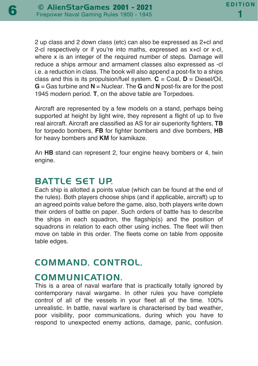2 up class and 2 down class (etc) can also be expressed as 2+cl and 2-cl respectively or if you're into maths, expressed as x+cl or x-cl, where x is an integer of the required number of steps. Damage will reduce a ships armour and armament classes also expressed as -cl i.e. a reduction in class. The book will also append a post-fix to a ships class and this is its propulsion/fuel system.  $C = \text{Coal}$ ,  $D = \text{Diesel/Oil}$ , **G** = Gas turbine and **N** = Nuclear. The **G** and **N** post-fix are for the post 1945 modern period. **T**, on the above table are Torpedoes.

Aircraft are represented by a few models on a stand, perhaps being supported at height by light wire, they represent a flight of up to five real aircraft. Aircraft are classified as AS for air superiority fighters, **TB** for torpedo bombers, **FB** for fighter bombers and dive bombers, **HB** for heavy bombers and **KM** for kamikaze.

An **HB** stand can represent 2, four engine heavy bombers or 4, twin engine.

#### BATTLE SET UP.

Each ship is allotted a points value (which can be found at the end of the rules). Both players choose ships (and if applicable, aircraft) up to an agreed points value before the game, also, both players write down their orders of battle on paper. Such orders of battle has to describe the ships in each squadron, the flagship(s) and the position of squadrons in relation to each other using inches. The fleet will then move on table in this order. The fleets come on table from opposite table edges.

#### COMMAND, CONTROL,

#### **COMMUNICATION.**

This is a area of naval warfare that is practically totally ignored by contemporary naval wargame. In other rules you have complete control of all of the vessels in your fleet all of the time. 100% unrealistic. In battle, naval warfare is characterised by bad weather, poor visibility, poor communications, during which you have to respond to unexpected enemy actions, damage, panic, confusion.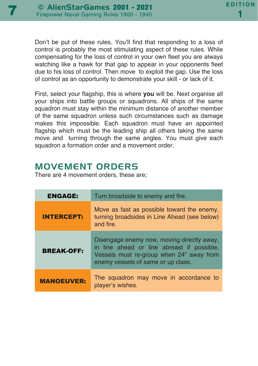Don't be put of these rules. You'll find that responding to a loss of control is probably the most stimulating aspect of these rules. While compensating for the loss of control in your own fleet you are always watching like a hawk for that gap to appear in your opponents fleet due to his loss of control. Then move to exploit the gap. Use the loss of control as an opportunity to demonstrate your skill - or lack of it.

First, select your flagship, this is where **you** will be. Next organise all your ships into battle groups or squadrons. All ships of the same squadron must stay within the minimum distance of another member of the same squadron unless such circumstances such as damage makes this impossible. Each squadron must have an appointed flagship which must be the leading ship all others taking the same move and turning through the same angles. You must give each squadron a formation order and a movement order.

#### MOVEMENT ORDERS

There are 4 movement orders, these are;

| <b>ENGAGE:</b><br>Turn broadside to enemy and fire. |                                                                                                                                                                            |  |  |
|-----------------------------------------------------|----------------------------------------------------------------------------------------------------------------------------------------------------------------------------|--|--|
| <b>INTERCEPT:</b>                                   | Move as fast as possible toward the enemy,<br>turning broadsides in Line Ahead (see below)<br>and fire.                                                                    |  |  |
| <b>BREAK-OFF:</b>                                   | Disengage enemy now, moving directly away,<br>in line ahead or line abreast if possible.<br>Vessels must re-group when 24" away from<br>enemy vessels of same or up class. |  |  |
| <b>MANOEUVER:</b>                                   | The squadron may move in accordance to<br>player's wishes.                                                                                                                 |  |  |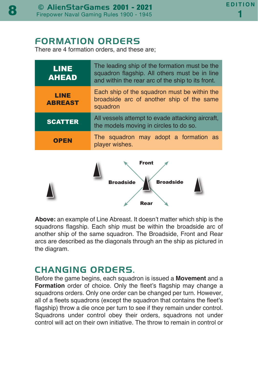#### **FORMATION ORDERS**

There are 4 formation orders, and these are;

| <b>LINE</b><br><b>AHEAD</b>   | The leading ship of the formation must be the<br>squadron flagship. All others must be in line<br>and within the rear arc of the ship to its front. |  |  |  |
|-------------------------------|-----------------------------------------------------------------------------------------------------------------------------------------------------|--|--|--|
| <b>LINE</b><br><b>ABREAST</b> | Each ship of the squadron must be within the<br>broadside arc of another ship of the same<br>squadron                                               |  |  |  |
| <b>SCATTER</b>                | All vessels attempt to evade attacking aircraft,<br>the models moving in circles to do so.                                                          |  |  |  |
| <b>OPEN</b>                   | The squadron may adopt a formation as<br>player wishes.                                                                                             |  |  |  |
|                               | Front                                                                                                                                               |  |  |  |



Broadside Broadside

#### CHANG ING ORDERS.

Before the game begins, each squadron is issued a **Movement** and a **Formation** order of choice. Only the fleet's flagship may change a squadrons orders. Only one order can be changed per turn. However, all of a fleets squadrons (except the squadron that contains the fleet's flagship) throw a die once per turn to see if they remain under control. Squadrons under control obey their orders, squadrons not under control will act on their own initiative. The throw to remain in control or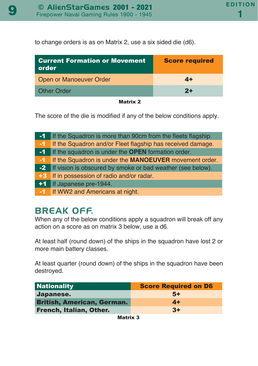to change orders is as on Matrix 2, use a six sided die (d6).

| <b>Current Formation or Movement</b><br>order | <b>Score required</b> |
|-----------------------------------------------|-----------------------|
| Open or Manoeuver Order                       | $4+$                  |
| <b>Other Order</b>                            | フャ                    |
|                                               |                       |



The score of the die is modified if any of the below conditions apply.

|      | -1 If the Squadron is more than 90cm from the fleets flagship. |
|------|----------------------------------------------------------------|
| $-1$ | If the Squadron and/or Fleet flagship has received damage.     |
|      | -1 If the squadron is under the OPEN formation order.          |
|      | -1 If the Squadron is under the MANOEUVER movement order.      |
|      | -2 If vision is obscured by smoke or bad weather (see below).  |
|      | +3 If in possession of radio and/or radar.                     |
|      | +1 If Japanese pre-1944.                                       |
|      | -1 If WW2 and Americans at night.                              |

#### BREAK OFF.

When any of the below conditions apply a squadron will break off any action on a score as on matrix 3 below, use a d6.

At least half (round down) of the ships in the squadron have lost 2 or more main battery classes.

At least quarter (round down) of the ships in the squadron have been destroyed.

| <b>Nationality</b>                | <b>Score Required on D6</b> |  |  |
|-----------------------------------|-----------------------------|--|--|
| Japanese.                         | $5+$                        |  |  |
| <b>British, American, German.</b> | $4+$                        |  |  |
| French, Italian, Other.           | $3+$                        |  |  |

Matrix 3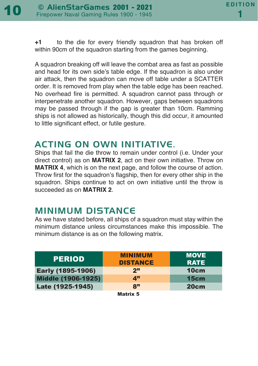**+1** to the die for every friendly squadron that has broken off within 90cm of the squadron starting from the games beginning.

A squadron breaking off will leave the combat area as fast as possible and head for its own side's table edge. If the squadron is also under air attack, then the squadron can move off table under a SCATTER order. It is removed from play when the table edge has been reached. No overhead fire is permitted. A squadron cannot pass through or interpenetrate another squadron. However, gaps between squadrons may be passed through if the gap is greater than 10cm. Ramming ships is not allowed as historically, though this did occur, it amounted to little significant effect, or futile gesture.

#### ACTING ON OWN INITIATIVE.

Ships that fail the die throw to remain under control (i.e. Under your direct control) as on **MATRIX 2**, act on their own initiative. Throw on **MATRIX 4**, which is on the next page, and follow the course of action. Throw first for the squadron's flagship, then for every other ship in the squadron. Ships continue to act on own initiative until the throw is succeeded as on **MATRIX 2**.

#### **MINIMUM DISTANCE**

As we have stated before, all ships of a squadron must stay within the minimum distance unless circumstances make this impossible. The minimum distance is as on the following matrix.

| <b>PERIOD</b>             | <b>MINIMUM</b><br><b>DISTANCE</b> | <b>MOVE</b><br><b>RATE</b> |
|---------------------------|-----------------------------------|----------------------------|
| <b>Early (1895-1906)</b>  | 2"                                | 10cm                       |
| <b>Middle (1906-1925)</b> | 4"                                | 15cm                       |
| Late (1925-1945)          | 8"                                | 20cm                       |
|                           |                                   |                            |

Matrix 5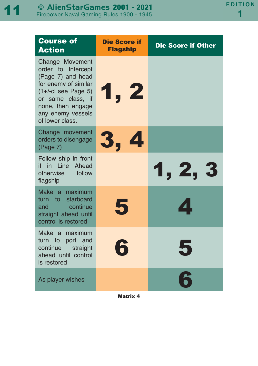| <b>Course of</b><br><b>Action</b>                                                                                                                                                              | <b>Die Score if</b><br><b>Flagship</b> | <b>Die Score if Other</b> |
|------------------------------------------------------------------------------------------------------------------------------------------------------------------------------------------------|----------------------------------------|---------------------------|
| Change Movement<br>order to Intercept<br>(Page 7) and head<br>for enemy of similar<br>$(1+/-c1)$ see Page 5)<br>or same class, if<br>none, then engage<br>any enemy vessels<br>of lower class. | 1, 2                                   |                           |
| Change movement<br>orders to disengage<br>(Page 7)                                                                                                                                             | 3, 4                                   |                           |
| Follow ship in front<br>if in Line Ahead<br>follow<br>otherwise<br>flagship                                                                                                                    |                                        | 1, 2, 3                   |
| Make a maximum<br>turn to starboard<br>continue<br>and<br>straight ahead until<br>control is restored                                                                                          | 5                                      | $\mathbf{Z}$ .            |
| Make a maximum<br>turn to port and<br>continue<br>straight<br>ahead until control<br>is restored                                                                                               | 5                                      | 5                         |
| As player wishes                                                                                                                                                                               |                                        |                           |

Matrix 4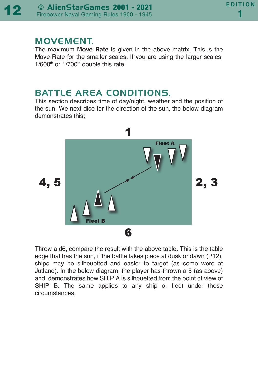#### MOVEMENT.

The maximum **Move Rate** is given in the above matrix. This is the Move Rate for the smaller scales. If you are using the larger scales,  $1/600$ <sup>th</sup> or  $1/700$ <sup>th</sup> double this rate.

#### BATTLE AREA CONDITIONS.

This section describes time of day/night, weather and the position of the sun. We next dice for the direction of the sun, the below diagram demonstrates this;



Throw a d6, compare the result with the above table. This is the table edge that has the sun, if the battle takes place at dusk or dawn (P12), ships may be silhouetted and easier to target (as some were at Jutland). In the below diagram, the player has thrown a 5 (as above) and demonstrates how SHIP A is silhouetted from the point of view of SHIP B. The same applies to any ship or fleet under these circumstances.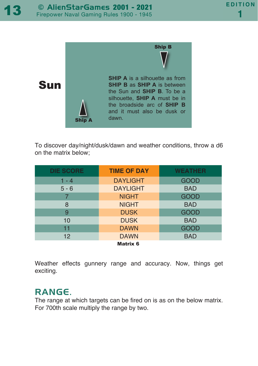

To discover day/night/dusk/dawn and weather conditions, throw a d6 on the matrix below;

| <b>DIE SCORE</b> | <b>TIME OF DAY</b> | <b>WEATHER</b> |  |  |  |  |
|------------------|--------------------|----------------|--|--|--|--|
| $1 - 4$          | <b>DAYLIGHT</b>    | <b>GOOD</b>    |  |  |  |  |
| $5 - 6$          | <b>DAYLIGHT</b>    | <b>BAD</b>     |  |  |  |  |
|                  | <b>NIGHT</b>       | <b>GOOD</b>    |  |  |  |  |
| 8                | <b>NIGHT</b>       | <b>BAD</b>     |  |  |  |  |
| 9                | <b>DUSK</b>        | <b>GOOD</b>    |  |  |  |  |
| 10               | <b>DUSK</b>        | <b>BAD</b>     |  |  |  |  |
| 11               | <b>DAWN</b>        | <b>GOOD</b>    |  |  |  |  |
| 12 <sup>2</sup>  | <b>DAWN</b>        | <b>BAD</b>     |  |  |  |  |
| <b>Matrix 6</b>  |                    |                |  |  |  |  |

Weather effects gunnery range and accuracy. Now, things get exciting.

#### RANGE.

The range at which targets can be fired on is as on the below matrix. For 700th scale multiply the range by two.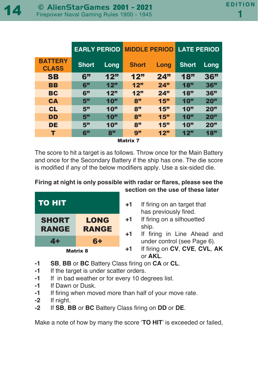|                                | <b>EARLY PERIOD</b> |      | <b>MIDDLE PERIOD</b> |      | <b>LATE PERIOD</b> |                 |  |
|--------------------------------|---------------------|------|----------------------|------|--------------------|-----------------|--|
| <b>BATTERY</b><br><b>CLASS</b> | <b>Short</b>        | Long | <b>Short</b>         | Long | <b>Short</b>       | <b>Long</b>     |  |
| <b>SB</b>                      | 6"                  | 12"  | 12"                  | 24"  | 18"                | 36"             |  |
| BB                             | 6"                  | 12"  | 12"                  | 24"  | 18"                | 36"             |  |
| <b>BC</b>                      | 6"                  | 12"  | 12"                  | 24"  | 18"                | 36"             |  |
| <b>CA</b>                      | 5"                  | 10"  | 8"                   | 15"  | 10"                | 20"             |  |
| <b>CL</b>                      | 5"                  | 10"  | 8"                   | 15"  | 10"                | 20 <sup>m</sup> |  |
| <b>DD</b>                      | 5"                  | 10"  | 8"                   | 15"  | 10"                | 20 <sup>m</sup> |  |
| DE                             | 5"                  | 10"  | 8"                   | 15"  | 10"                | 20"             |  |
| т                              | 6"                  | 8"   | 9"                   | 12"  | 12"                | 18"             |  |
| <b>Matrix 7</b>                |                     |      |                      |      |                    |                 |  |

The score to hit a target is as follows. Throw once for the Main Battery and once for the Secondary Battery if the ship has one. The die score is modified if any of the below modifiers apply. Use a six-sided die.

#### **Firing at night is only possible with radar or flares, please see the section on the use of these later**



- **+1** If firing on an target that has previously fired.
- **+1** If firing on a silhouetted ship.
- **+1** If firing in Line Ahead and under control (see Page 6).
- **+1** If firing on **CV**, **CVE**, **CVL**, **AK** or **AKL**.
- **-1 SB**, **BB** or **BC** Battery Class firing on **CA** or **CL**.
- **-1** If the target is under scatter orders.
- **-1** If in bad weather or for every 10 degrees list.
- **-1** If Dawn or Dusk.
- **-1** If firing when moved more than half of your move rate.
- **-2** If night.
- **-2** If **SB**, **BB** or **BC** Battery Class firing on **DD** or **DE**.

Make a note of how by many the score '**TO HIT**' is exceeded or failed,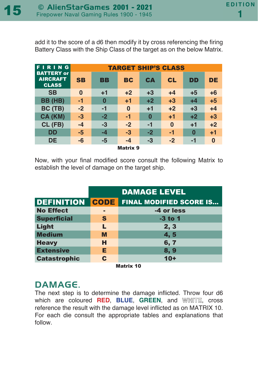add it to the score of a d6 then modify it by cross referencing the firing Battery Class with the Ship Class of the target as on the below Matrix.

| FIRING                                               | <b>TARGET SHIP'S CLASS</b> |           |          |           |           |           |          |  |
|------------------------------------------------------|----------------------------|-----------|----------|-----------|-----------|-----------|----------|--|
| <b>BATTERY or</b><br><b>AIRCRAFT</b><br><b>CLASS</b> | <b>SB</b>                  | <b>BB</b> | BC       | <b>CA</b> | <b>CL</b> | <b>DD</b> | DE       |  |
| <b>SB</b>                                            | $\bf{0}$                   | $+1$      | $+2$     | $+3$      | $+4$      | $+5$      | $+6$     |  |
| BB (HB)                                              | -1                         | $\bf{0}$  | $+1$     | $+2$      | $+3$      | $+4$      | $+5$     |  |
| BC (TB)                                              | $-2$                       | -1        | $\bf{0}$ | $+1$      | $+2$      | $+3$      | $+4$     |  |
| CA (KM)                                              | $-3$                       | $-2$      | -1       | $\bf{0}$  | $+1$      | $+2$      | $+3$     |  |
| CL (FB)                                              | $-4$                       | $-3$      | $-2$     | -1        | $\bf{0}$  | +1        | $+2$     |  |
| <b>DD</b>                                            | $-5$                       | $-4$      | $-3$     | $-2$      | -1        | 0         | $+1$     |  |
| <b>DE</b>                                            | $-6$                       | $-5$      | $-4$     | $-3$      | $-2$      | -1        | $\bf{0}$ |  |
| $B = 1.1 - 0$                                        |                            |           |          |           |           |           |          |  |

Matrix 9

Now, with your final modified score consult the following Matrix to establish the level of damage on the target ship.

| <b>DAMAGE LEVEL</b> |                                |  |  |  |
|---------------------|--------------------------------|--|--|--|
| <b>CODE</b>         | <b>FINAL MODIFIED SCORE IS</b> |  |  |  |
|                     | -4 or less                     |  |  |  |
| S                   | $-3$ to 1                      |  |  |  |
| L                   | 2, 3                           |  |  |  |
| M                   | 4,5                            |  |  |  |
| н                   | 6, 7                           |  |  |  |
| Е                   | 8,9                            |  |  |  |
| C.                  | $10+$                          |  |  |  |
|                     |                                |  |  |  |

Matrix 10

#### DAMAGE.

The next step is to determine the damage inflicted. Throw four d6 which are coloured **RED**, **BLUE**, **GREEN**, and **WHITE**, cross reference the result with the damage level inflicted as on MATRIX 10. For each die consult the appropriate tables and explanations that follow.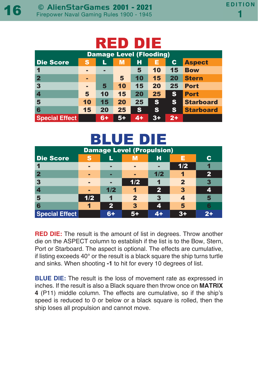| Е<br>RED<br>DII         |    |      |                                |    |              |      |                  |
|-------------------------|----|------|--------------------------------|----|--------------|------|------------------|
|                         |    |      | <b>Damage Level (Flooding)</b> |    |              |      |                  |
| <b>Die Score</b>        | S  | U    | M                              | н  | Е            | C    | <b>Aspect</b>    |
| 1                       |    | -    |                                | 5  | 10           | 15   | <b>Bow</b>       |
| $\overline{\mathbf{2}}$ | -  |      | 5                              | 10 | 15           | 20   | <b>Stern</b>     |
| $\overline{\mathbf{3}}$ |    | 5    | 10                             | 15 | 20           | 25   | <b>Port</b>      |
| $\boldsymbol{4}$        | 5  | 10   | 15                             | 20 | 25           | S    | <b>Port</b>      |
| 5                       | 10 | 15   | 20                             | 25 | $\mathbf{s}$ | S    | <b>Starboard</b> |
| 6                       | 15 | 20   | 25                             | S  | S            | S    | <b>Starboard</b> |
| <b>Special Effect</b>   |    | $6+$ | $5+$                           | 4+ | $3+$         | $2+$ |                  |

## BLUE DIE

| <b>Damage Level (Propulsion)</b> |     |              |              |     |             |   |
|----------------------------------|-----|--------------|--------------|-----|-------------|---|
| <b>Die Score</b>                 | S   |              | M            | н   |             | C |
|                                  | -   | -            |              | -   | 1/2         |   |
|                                  | -   | -            | -            | 1/2 |             | 2 |
| 3                                | -   |              | 1/2          |     | $\mathbf 2$ |   |
|                                  | -   | 1/2          |              | 2   | 3           |   |
| 5                                | 1/2 |              | $\mathbf{2}$ |     |             |   |
|                                  |     | $\mathbf{2}$ | 3            | 4   | 5           |   |
| <b>Special Effect</b>            |     | 6+           | 5+           | 4+  | 35          |   |

**RED DIE:** The result is the amount of list in degrees. Throw another die on the ASPECT column to establish if the list is to the Bow, Stern, Port or Starboard. The aspect is optional. The effects are cumulative, if listing exceeds 40° or the result is a black square the ship turns turtle and sinks. When shooting **-1** to hit for every 10 degrees of list.

**BLUE DIE:** The result is the loss of movement rate as expressed in inches. If the result is also a Black square then throw once on **MATRIX 4** (P11) middle column. The effects are cumulative, so if the ship's speed is reduced to 0 or below or a black square is rolled, then the ship loses all propulsion and cannot move.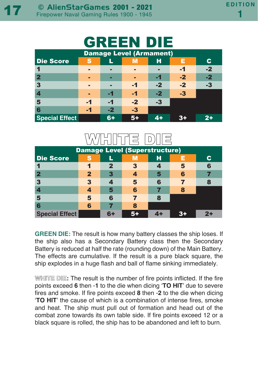| GREEN DIE               |      |      |                                |      |      |      |
|-------------------------|------|------|--------------------------------|------|------|------|
|                         |      |      | <b>Damage Level (Armament)</b> |      |      |      |
| <b>Die Score</b>        | S    |      | M                              | н    | Е    | C.   |
| 1                       |      | -    |                                |      | -1   | $-2$ |
| $\mathbf 2$             | -    | п    | -                              | 61   | $-2$ | $-2$ |
| $\overline{\mathbf{3}}$ |      | -    | $-1$                           | $-2$ | $-2$ | $-3$ |
|                         |      | -1   | -1                             | $-2$ | $-3$ |      |
| 5                       | $-1$ | -1   | $-2$                           | $-3$ |      |      |
| 6                       | $-1$ | $-2$ | $-3$                           |      |      |      |
| <b>Special Effect</b>   |      | $6+$ | 5+                             | $4+$ | $3+$ |      |

## WHITE DIE

| <b>Damage Level (Superstructure)</b> |   |    |   |   |  |  |
|--------------------------------------|---|----|---|---|--|--|
| <b>Die Score</b>                     | e |    | М | н |  |  |
|                                      |   | 2  |   |   |  |  |
|                                      | 2 |    |   |   |  |  |
|                                      |   |    | 5 |   |  |  |
|                                      |   | 5  |   |   |  |  |
| 5                                    | 5 | G  |   |   |  |  |
|                                      | 6 |    |   |   |  |  |
| <b>Special Effect</b>                |   | 83 |   |   |  |  |

**GREEN DIE:** The result is how many battery classes the ship loses. If the ship also has a Secondary Battery class then the Secondary Battery is reduced at half the rate (rounding down) of the Main Battery. The effects are cumulative. If the result is a pure black square, the ship explodes in a huge flash and ball of flame sinking immediately.

**WHITE DIE:** The result is the number of fire points inflicted. If the fire points exceed **6** then -**1** to the die when dicing '**TO HIT**' due to severe fires and smoke. If fire points exceed **8** then -**2** to the die when dicing '**TO HIT**' the cause of which is a combination of intense fires, smoke and heat. The ship must pull out of formation and head out of the combat zone towards its own table side. If fire points exceed 12 or a black square is rolled, the ship has to be abandoned and left to burn.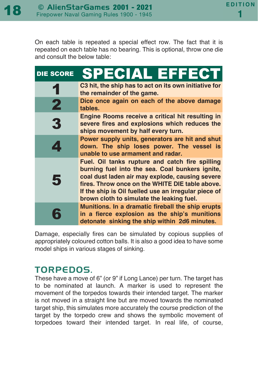On each table is repeated a special effect row. The fact that it is repeated on each table has no bearing. This is optional, throw one die and consult the below table:

| <b>DIE SCORE</b>        | <b>SPECIAL EFFECT</b>                                                                                                                                                                                                                                                                                         |
|-------------------------|---------------------------------------------------------------------------------------------------------------------------------------------------------------------------------------------------------------------------------------------------------------------------------------------------------------|
|                         | C3 hit, the ship has to act on its own initiative for<br>the remainder of the game.                                                                                                                                                                                                                           |
| $\overline{\mathbf{2}}$ | Dice once again on each of the above damage<br>tables.                                                                                                                                                                                                                                                        |
| 3                       | Engine Rooms receive a critical hit resulting in<br>severe fires and explosions which reduces the<br>ships movement by half every turn.                                                                                                                                                                       |
| $\blacktriangle$        | Power supply units, generators are hit and shut<br>down. The ship loses power. The vessel is<br>unable to use armament and radar.                                                                                                                                                                             |
| 5                       | Fuel. Oil tanks rupture and catch fire spilling<br>burning fuel into the sea. Coal bunkers ignite,<br>coal dust laden air may explode, causing severe<br>fires. Throw once on the WHITE DIE table above.<br>If the ship is Oil fuelled use an irregular piece of<br>brown cloth to simulate the leaking fuel. |
|                         | Munitions. In a dramatic fireball the ship erupts<br>in a fierce explosion as the ship's munitions<br>detonate sinking the ship within 2d6 minutes.                                                                                                                                                           |

Damage, especially fires can be simulated by copious supplies of appropriately coloured cotton balls. It is also a good idea to have some model ships in various stages of sinking.

#### TORPEDOS.

These have a move of 6" (or 9" if Long Lance) per turn. The target has to be nominated at launch. A marker is used to represent the movement of the torpedos towards their intended target. The marker is not moved in a straight line but are moved towards the nominated target ship, this simulates more accurately the course prediction of the target by the torpedo crew and shows the symbolic movement of torpedoes toward their intended target. In real life, of course,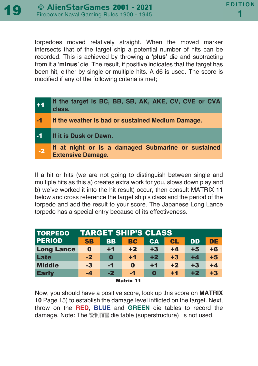torpedoes moved relatively straight. When the moved marker intersects that of the target ship a potential number of hits can be recorded. This is achieved by throwing a '**plus**' die and subtracting from it a '**minus**' die. The result, if positive indicates that the target has been hit, either by single or multiple hits. A d6 is used. The score is modified if any of the following criteria is met;

| $+1$ | If the target is BC, BB, SB, AK, AKE, CV, CVE or CVA<br>class.                 |
|------|--------------------------------------------------------------------------------|
| $-1$ | If the weather is bad or sustained Medium Damage.                              |
| $-1$ | If it is Dusk or Dawn.                                                         |
| $-2$ | If at night or is a damaged Submarine or sustained<br><b>Extensive Damage.</b> |

If a hit or hits (we are not going to distinguish between single and multiple hits as this a) creates extra work for you, slows down play and b) we've worked it into the hit result) occur, then consult MATRIX 11 below and cross reference the target ship's class and the period of the torpedo and add the result to your score. The Japanese Long Lance torpedo has a special entry because of its effectiveness.

| <b>TORPEDO</b>    |           | <b>TARGET SHIP'S CLASS</b> |          |           |           |           |           |
|-------------------|-----------|----------------------------|----------|-----------|-----------|-----------|-----------|
| <b>PERIOD</b>     | <b>SB</b> | <b>BB</b>                  | BC       | <b>CA</b> | <b>CL</b> | <b>DD</b> | <b>DE</b> |
| <b>Long Lance</b> | $\bf{0}$  | $+1$                       | $+2$     | $+3$      | $+4$      | $+5$      | $+6$      |
| Late              | $-2$      | 0                          | $+1$     | $+2$      | $+3$      | $+4$      | $+5$      |
| <b>Middle</b>     | $-3$      | $-1$                       | $\Omega$ | $+1$      | $+2$      | $+3$      | $+4$      |
| <b>Early</b>      | $-4$      | $-2$                       | -1       | 0         | $+1$      | $+2$      | $+3$      |
|                   |           |                            | .        |           |           |           |           |

| <b>Matrix 11</b> |  |  |
|------------------|--|--|
|------------------|--|--|

Now, you should have a positive score, look up this score on **MATRIX 10** Page 15) to establish the damage level inflicted on the target. Next, throw on the **RED**, **BLUE** and **GREEN** die tables to record the damage. Note: The **WHITE** die table (superstructure) is not used.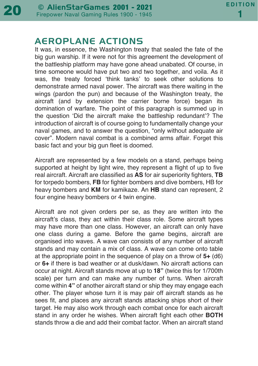#### **AEROPLANE ACTIONS**

It was, in essence, the Washington treaty that sealed the fate of the big gun warship. If it were not for this agreement the development of the battleship platform may have gone ahead unabated. Of course, in time someone would have put two and two together, and voila. As it was, the treaty forced 'think tanks' to seek other solutions to demonstrate armed naval power. The aircraft was there waiting in the wings (pardon the pun) and because of the Washington treaty, the aircraft (and by extension the carrier borne force) began its domination of warfare. The point of this paragraph is summed up in the question 'Did the aircraft make the battleship redundant'? The introduction of aircraft is of course going to fundamentally change your naval games, and to answer the question, "only without adequate air cover". Modern naval combat is a combined arms affair. Forget this basic fact and your big gun fleet is doomed.

Aircraft are represented by a few models on a stand, perhaps being supported at height by light wire, they represent a flight of up to five real aircraft. Aircraft are classified as **AS** for air superiority fighters, **TB** for torpedo bombers, **FB** for fighter bombers and dive bombers, HB for heavy bombers and **KM** for kamikaze. An **HB** stand can represent, 2 four engine heavy bombers or 4 twin engine.

Aircraft are not given orders per se, as they are written into the aircraft's class, they act within their class role. Some aircraft types may have more than one class. However, an aircraft can only have one class during a game. Before the game begins, aircraft are organised into waves. A wave can consists of any number of aircraft stands and may contain a mix of class. A wave can come onto table at the appropriate point in the sequence of play on a throw of **5+** (d6) or **6+** if there is bad weather or at dusk/dawn. No aircraft actions can occur at night. Aircraft stands move at up to **18"** (twice this for 1/700th scale) per turn and can make any number of turns. When aircraft come within **4"** of another aircraft stand or ship they may engage each other. The player whose turn it is may pair off aircraft stands as he sees fit, and places any aircraft stands attacking ships short of their target. He may also work through each combat once for each aircraft stand in any order he wishes. When aircraft fight each other **BOTH** stands throw a die and add their combat factor. When an aircraft stand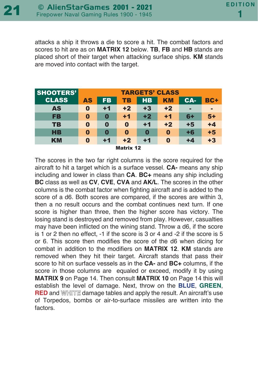attacks a ship it throws a die to score a hit. The combat factors and scores to hit are as on **MATRIX 12** below. **TB**, **FB** and **HB** stands are placed short of their target when attacking surface ships. **KM** stands are moved into contact with the target.

| <b>SHOOTERS'</b> |           |           |          |           | <b>TARGETS' CLASS</b> |      |      |
|------------------|-----------|-----------|----------|-----------|-----------------------|------|------|
| <b>CLASS</b>     | <b>AS</b> | <b>FB</b> | TB       | <b>HB</b> | <b>KM</b>             | CA-  | BC+  |
| <b>AS</b>        | 0         | $+1$      | $+2$     | $+3$      | $+2$                  | ٠    |      |
| FB               | 0         | 0         | $+1$     | $+2$      | $+1$                  | 6+   | $5+$ |
| TB               | 0         | O         | 0        | $+1$      | $+2$                  | $+5$ | $+4$ |
| <b>HB</b>        | 0         | 0         | $\bf{0}$ | 0         | 0                     | $+6$ | $+5$ |
| <b>KM</b>        | 0         | $+1$      | $+2$     | $+1$      | O                     | $+4$ | $+3$ |
| <b>Matrix 12</b> |           |           |          |           |                       |      |      |

The scores in the two far right columns is the score required for the aircraft to hit a target which is a surface vessel. **CA-** means any ship including and lower in class than **CA**. **BC+** means any ship including **BC** class as well as **CV**, **CVE**, **CVA** and **AK/L**. The scores in the other columns is the combat factor when fighting aircraft and is added to the score of a d6. Both scores are compared, if the scores are within 3, then a no result occurs and the combat continues next turn. If one score is higher than three, then the higher score has victory. The losing stand is destroyed and removed from play. However, casualties may have been inflicted on the wining stand. Throw a d6, if the score is 1 or 2 then no effect, -1 if the score is 3 or 4 and -2 if the score is 5 or 6. This score then modifies the score of the d6 when dicing for combat in addition to the modifiers on **MATRIX 12**. **KM** stands are removed when they hit their target. Aircraft stands that pass their score to hit on surface vessels as in the **CA-** and **BC+** columns, if the score in those columns are equaled or exceed, modify it by using **MATRIX 9** on Page 14. Then consult **MATRIX 10** on Page 14 this will establish the level of damage. Next, throw on the **BLUE**, **GREEN**, **RED** and **WHITE** damage tables and apply the result. An aircraft's use of Torpedos, bombs or air-to-surface missiles are written into the factors.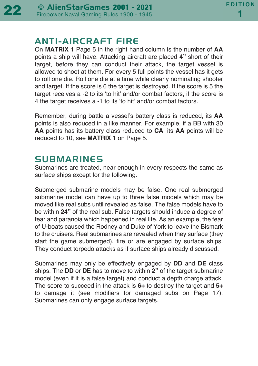#### **ANTI-AIRCRAFT FIRE**

On **MATRIX 1** Page 5 in the right hand column is the number of **AA** points a ship will have. Attacking aircraft are placed **4"** short of their target, before they can conduct their attack, the target vessel is allowed to shoot at them. For every 5 full points the vessel has it gets to roll one die. Roll one die at a time while clearly nominating shooter and target. If the score is 6 the target is destroyed. If the score is 5 the target receives a -2 to its 'to hit' and/or combat factors, if the score is 4 the target receives a -1 to its 'to hit' and/or combat factors.

Remember, during battle a vessel's battery class is reduced, its **AA** points is also reduced in a like manner. For example, if a BB with 30 **AA** points has its battery class reduced to **CA**, its **AA** points will be reduced to 10, see **MATRIX 1** on Page 5.

#### **SUBMARINES**

Submarines are treated, near enough in every respects the same as surface ships except for the following.

Submerged submarine models may be false. One real submerged submarine model can have up to three false models which may be moved like real subs until revealed as false. The false models have to be within **24"** of the real sub. False targets should induce a degree of fear and paranoia which happened in real life. As an example, the fear of U-boats caused the Rodney and Duke of York to leave the Bismark to the cruisers. Real submarines are revealed when they surface (they start the game submerged), fire or are engaged by surface ships. They conduct torpedo attacks as if surface ships already discussed.

Submarines may only be effectively engaged by **DD** and **DE** class ships. The **DD** or **DE** has to move to within **2"** of the target submarine model (even if it is a false target) and conduct a depth charge attack. The score to succeed in the attack is **6+** to destroy the target and **5+** to damage it (see modifiers for damaged subs on Page 17). Submarines can only engage surface targets.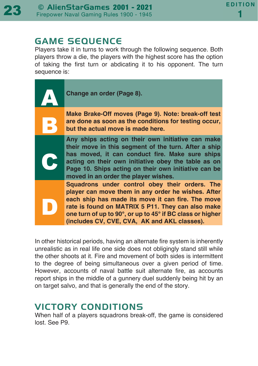#### GAME SEQUENCE

Players take it in turns to work through the following sequence. Both players throw a die, the players with the highest score has the option of taking the first turn or abdicating it to his opponent. The turn sequence is:



In other historical periods, having an alternate fire system is inherently unrealistic as in real life one side does not obligingly stand still while the other shoots at it. Fire and movement of both sides is intermittent to the degree of being simultaneous over a given period of time. However, accounts of naval battle suit alternate fire, as accounts report ships in the middle of a gunnery duel suddenly being hit by an on target salvo, and that is generally the end of the story.

#### **VICTORY CONDITIONS**

When half of a players squadrons break-off, the game is considered lost. See P9.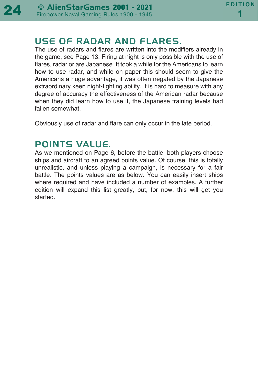### USE OF RADAR AND FLARES.

The use of radars and flares are written into the modifiers already in the game, see Page 13. Firing at night is only possible with the use of flares, radar or are Japanese. It took a while for the Americans to learn how to use radar, and while on paper this should seem to give the Americans a huge advantage, it was often negated by the Japanese extraordinary keen night-fighting ability. It is hard to measure with any degree of accuracy the effectiveness of the American radar because when they did learn how to use it, the Japanese training levels had fallen somewhat.

Obviously use of radar and flare can only occur in the late period.

#### POINTS VALUE.

As we mentioned on Page 6, before the battle, both players choose ships and aircraft to an agreed points value. Of course, this is totally unrealistic, and unless playing a campaign, is necessary for a fair battle. The points values are as below. You can easily insert ships where required and have included a number of examples. A further edition will expand this list greatly, but, for now, this will get you started.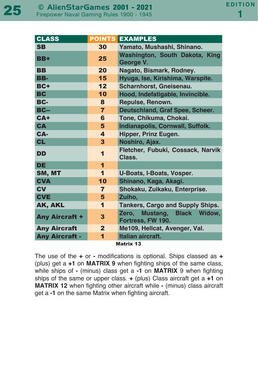| <b>CLASS</b>          | <b>POINTS</b>           | <b>EXAMPLES</b>                                               |  |  |  |
|-----------------------|-------------------------|---------------------------------------------------------------|--|--|--|
| <b>SB</b>             | 30                      | Yamato, Mushashi, Shinano.                                    |  |  |  |
| <b>BB+</b>            | 25                      | Washington, South Dakota, King<br>George V.                   |  |  |  |
| <b>BB</b>             | 20                      | Nagato, Bismark, Rodney.                                      |  |  |  |
| BB-                   | 15                      | Hyuga, Ise, Kirishima, Warspite.                              |  |  |  |
| BC+                   | 12                      | Scharnhorst, Gneisenau.                                       |  |  |  |
| <b>BC</b>             | 10                      | Hood, Indefatigable, Invincible.                              |  |  |  |
| BC-                   | 8                       | Repulse, Renown.                                              |  |  |  |
| $BC -$                | $\overline{7}$          | Deutschland, Graf Spee, Scheer.                               |  |  |  |
| $CA+$                 | 6                       | Tone, Chikuma, Chokai.                                        |  |  |  |
| <b>CA</b>             | 5                       | Indianapolis, Cornwall, Suffolk.                              |  |  |  |
| CA-                   | $\overline{\mathbf{4}}$ | Hipper, Prinz Eugen.                                          |  |  |  |
| <b>CL</b>             | 3                       | Noshiro, Ajax.                                                |  |  |  |
| <b>DD</b>             | $\overline{\mathbf{1}}$ | Fletcher, Fubuki, Cossack, Narvik<br>Class.                   |  |  |  |
| <b>DE</b>             | $\overline{\mathbf{1}}$ |                                                               |  |  |  |
| SM, MT                | $\mathbf{1}$            | <b>U-Boats, I-Boats, Vosper.</b>                              |  |  |  |
| <b>CVA</b>            | 10                      | Shinano, Kaga, Akagi.                                         |  |  |  |
| <b>CV</b>             | $\overline{7}$          | Shokaku, Zuikaku, Enterprise.                                 |  |  |  |
| <b>CVE</b>            | 5                       | Zuiho,                                                        |  |  |  |
| AK, AKL               | $\overline{\mathbf{1}}$ | <b>Tankers, Cargo and Supply Ships.</b>                       |  |  |  |
| <b>Any Aircraft +</b> | 3                       | Mustang,<br><b>Black Widow,</b><br>Zero.<br>Fortress, FW 190. |  |  |  |
| <b>Any Aircraft</b>   | $\mathbf{2}$            | Me109, Hellcat, Avenger, Val.                                 |  |  |  |
| <b>Any Aircraft -</b> | $\overline{\mathbf{1}}$ | Italian aircraft.                                             |  |  |  |
| <b>Matrix 13</b>      |                         |                                                               |  |  |  |

The use of the **+** or **-** modifications is optional. Ships classed as **+** (plus) get a **+1** on **MATRIX 9** when fighting ships of the same class, while ships of **-** (minus) class get a **-1** on **MATRIX** 9 when fighting ships of the same or upper class. **+** (plus) Class aircraft get a **+1** on **MATRIX 12** when fighting other aircraft while **-** (minus) class aircraft get a **-1** on the same Matrix when fighting aircraft.